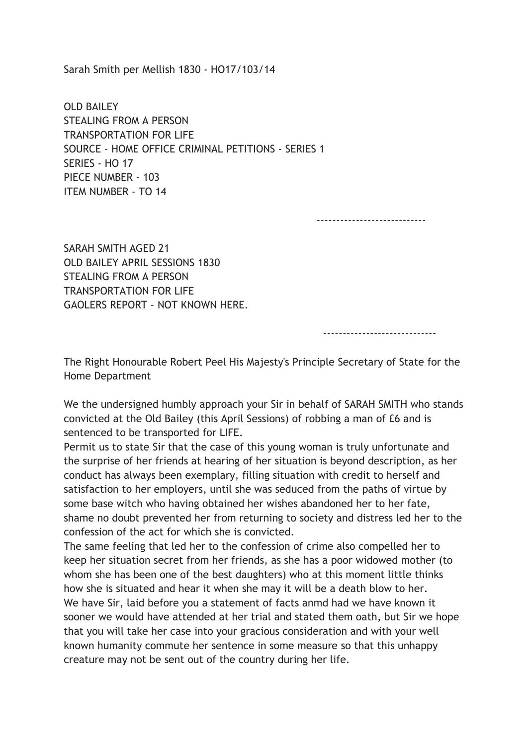Sarah Smith per Mellish 1830 - HO17/103/14

OLD BAILEY STEALING FROM A PERSON TRANSPORTATION FOR LIFE SOURCE - HOME OFFICE CRIMINAL PETITIONS - SERIES 1 SERIES - HO 17 PIECE NUMBER - 103 ITEM NUMBER - TO 14

----------------------------

SARAH SMITH AGED 21 OLD BAILEY APRIL SESSIONS 1830 STEALING FROM A PERSON TRANSPORTATION FOR LIFE GAOLERS REPORT - NOT KNOWN HERE.

-----------------------------

The Right Honourable Robert Peel His Majesty's Principle Secretary of State for the Home Department

We the undersigned humbly approach your Sir in behalf of SARAH SMITH who stands convicted at the Old Bailey (this April Sessions) of robbing a man of £6 and is sentenced to be transported for LIFE.

Permit us to state Sir that the case of this young woman is truly unfortunate and the surprise of her friends at hearing of her situation is beyond description, as her conduct has always been exemplary, filling situation with credit to herself and satisfaction to her employers, until she was seduced from the paths of virtue by some base witch who having obtained her wishes abandoned her to her fate, shame no doubt prevented her from returning to society and distress led her to the confession of the act for which she is convicted.

The same feeling that led her to the confession of crime also compelled her to keep her situation secret from her friends, as she has a poor widowed mother (to whom she has been one of the best daughters) who at this moment little thinks how she is situated and hear it when she may it will be a death blow to her. We have Sir, laid before you a statement of facts anmd had we have known it sooner we would have attended at her trial and stated them oath, but Sir we hope that you will take her case into your gracious consideration and with your well known humanity commute her sentence in some measure so that this unhappy creature may not be sent out of the country during her life.